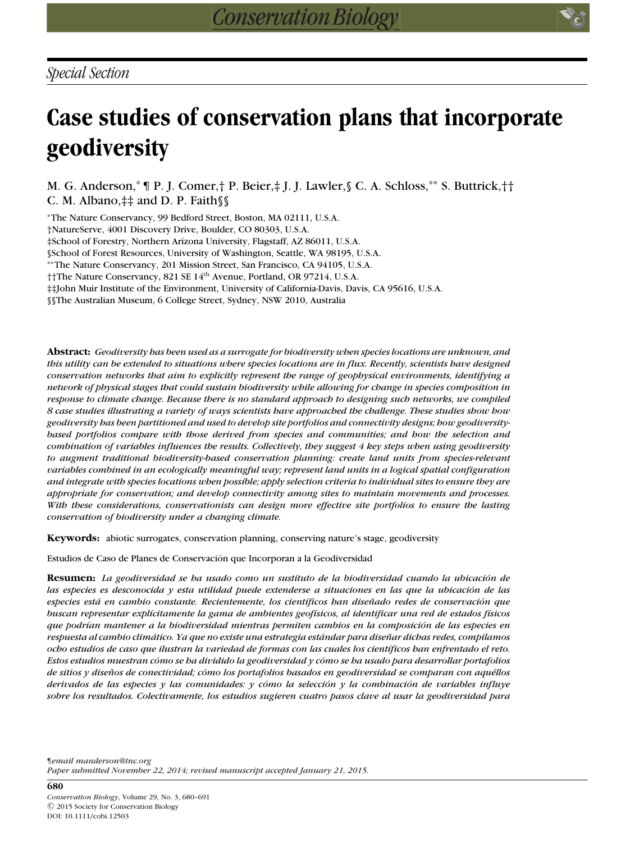# **Case studies of conservation plans that incorporate geodiversity**

M. G. Anderson,<sup>∗</sup> ¶ P. J. Comer,† P. Beier,‡ J. J. Lawler,§ C. A. Schloss,∗∗ S. Buttrick,†† C. M. Albano,‡‡ and D. P. Faith§§

<sup>∗</sup>The Nature Conservancy, 99 Bedford Street, Boston, MA 02111, U.S.A.

†NatureServe, 4001 Discovery Drive, Boulder, CO 80303, U.S.A.

‡School of Forestry, Northern Arizona University, Flagstaff, AZ 86011, U.S.A.

§School of Forest Resources, University of Washington, Seattle, WA 98195, U.S.A.

∗∗The Nature Conservancy, 201 Mission Street, San Francisco, CA 94105, U.S.A.

††The Nature Conservancy, 821 SE 14th Avenue, Portland, OR 97214, U.S.A.

‡‡John Muir Institute of the Environment, University of California-Davis, Davis, CA 95616, U.S.A.

§§The Australian Museum, 6 College Street, Sydney, NSW 2010, Australia

**Abstract:** *Geodiversity has been used as a surrogate for biodiversity when species locations are unknown, and this utility can be extended to situations where species locations are in flux. Recently, scientists have designed conservation networks that aim to explicitly represent the range of geophysical environments, identifying a network of physical stages that could sustain biodiversity while allowing for change in species composition in response to climate change. Because there is no standard approach to designing such networks, we compiled 8 case studies illustrating a variety of ways scientists have approached the challenge. These studies show how geodiversity has been partitioned and used to develop site portfolios and connectivity designs; how geodiversitybased portfolios compare with those derived from species and communities; and how the selection and combination of variables influences the results. Collectively, they suggest 4 key steps when using geodiversity to augment traditional biodiversity-based conservation planning: create land units from species-relevant variables combined in an ecologically meaningful way; represent land units in a logical spatial configuration and integrate with species locations when possible; apply selection criteria to individual sites to ensure they are appropriate for conservation; and develop connectivity among sites to maintain movements and processes. With these considerations, conservationists can design more effective site portfolios to ensure the lasting conservation of biodiversity under a changing climate.*

**Keywords:** abiotic surrogates, conservation planning, conserving nature's stage, geodiversity

Estudios de Caso de Planes de Conservacion que Incorporan a la Geodiversidad ´

**Resumen:** *La geodiversidad se ha usado como un sustituto de la biodiversidad cuando la ubicacion de ´ las especies es desconocida y esta utilidad puede extenderse a situaciones en las que la ubicacion de las ´ especies esta en cambio constante. Recientemente, los cient ´ ´ıficos han disenado redes de conservaci ˜ on que ´ buscan representar expl´ıcitamente la gama de ambientes geof´ısicos, al identificar una red de estados f´ısicos que podr´ıan mantener a la biodiversidad mientras permiten cambios en la composicion de las especies en ´ respuesta al cambio climatico. Ya que no existe una estrategia est ´ andar para dise ´ nar dichas redes, compilamos ˜ ocho estudios de caso que ilustran la variedad de formas con las cuales los cient´ıficos han enfrentado el reto. Estos estudios muestran como se ha dividido la geodiversidad y c ´ omo se ha usado para desarrollar portafolios ´ de sitios y disenos de conectividad; c ˜ omo los portafolios basados en geodiversidad se comparan con aqu ´ ´ellos derivados de las especies y las comunidades: y cómo la selección y la combinación de variables influye sobre los resultados. Colectivamente, los estudios sugieren cuatro pasos clave al usar la geodiversidad para*

**680**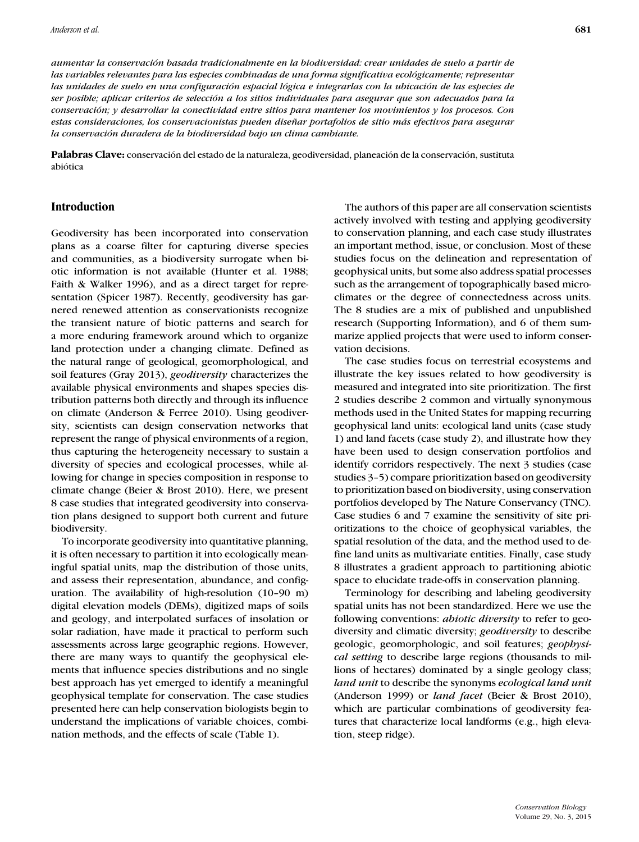*aumentar la conservacion basada tradicionalmente en la biodiversidad: crear unidades de suelo a partir de ´ las variables relevantes para las especies combinadas de una forma significativa ecologicamente; representar ´ las unidades de suelo en una configuracion espacial l ´ ogica e integrarlas con la ubicaci ´ on de las especies de ´ ser posible; aplicar criterios de seleccion a los sitios individuales para asegurar que son adecuados para la ´ conservacion; y desarrollar la conectividad entre sitios para mantener los movimientos y los procesos. Con ´ estas consideraciones, los conservacionistas pueden disenar portafolios de sitio m ˜ as efectivos para asegurar ´ la conservacion duradera de la biodiversidad bajo un clima cambiante. ´*

Palabras Clave: conservación del estado de la naturaleza, geodiversidad, planeación de la conservación, sustituta abiótica

#### **Introduction**

Geodiversity has been incorporated into conservation plans as a coarse filter for capturing diverse species and communities, as a biodiversity surrogate when biotic information is not available (Hunter et al. 1988; Faith & Walker 1996), and as a direct target for representation (Spicer 1987). Recently, geodiversity has garnered renewed attention as conservationists recognize the transient nature of biotic patterns and search for a more enduring framework around which to organize land protection under a changing climate. Defined as the natural range of geological, geomorphological, and soil features (Gray 2013), *geodiversity* characterizes the available physical environments and shapes species distribution patterns both directly and through its influence on climate (Anderson & Ferree 2010). Using geodiversity, scientists can design conservation networks that represent the range of physical environments of a region, thus capturing the heterogeneity necessary to sustain a diversity of species and ecological processes, while allowing for change in species composition in response to climate change (Beier & Brost 2010). Here, we present 8 case studies that integrated geodiversity into conservation plans designed to support both current and future biodiversity.

To incorporate geodiversity into quantitative planning, it is often necessary to partition it into ecologically meaningful spatial units, map the distribution of those units, and assess their representation, abundance, and configuration. The availability of high-resolution (10–90 m) digital elevation models (DEMs), digitized maps of soils and geology, and interpolated surfaces of insolation or solar radiation, have made it practical to perform such assessments across large geographic regions. However, there are many ways to quantify the geophysical elements that influence species distributions and no single best approach has yet emerged to identify a meaningful geophysical template for conservation. The case studies presented here can help conservation biologists begin to understand the implications of variable choices, combination methods, and the effects of scale (Table 1).

The authors of this paper are all conservation scientists actively involved with testing and applying geodiversity to conservation planning, and each case study illustrates an important method, issue, or conclusion. Most of these studies focus on the delineation and representation of geophysical units, but some also address spatial processes such as the arrangement of topographically based microclimates or the degree of connectedness across units. The 8 studies are a mix of published and unpublished research (Supporting Information), and 6 of them summarize applied projects that were used to inform conservation decisions.

The case studies focus on terrestrial ecosystems and illustrate the key issues related to how geodiversity is measured and integrated into site prioritization. The first 2 studies describe 2 common and virtually synonymous methods used in the United States for mapping recurring geophysical land units: ecological land units (case study 1) and land facets (case study 2), and illustrate how they have been used to design conservation portfolios and identify corridors respectively. The next 3 studies (case studies 3–5) compare prioritization based on geodiversity to prioritization based on biodiversity, using conservation portfolios developed by The Nature Conservancy (TNC). Case studies 6 and 7 examine the sensitivity of site prioritizations to the choice of geophysical variables, the spatial resolution of the data, and the method used to define land units as multivariate entities. Finally, case study 8 illustrates a gradient approach to partitioning abiotic space to elucidate trade-offs in conservation planning.

Terminology for describing and labeling geodiversity spatial units has not been standardized. Here we use the following conventions: *abiotic diversity* to refer to geodiversity and climatic diversity; *geodiversity* to describe geologic, geomorphologic, and soil features; *geophysical setting* to describe large regions (thousands to millions of hectares) dominated by a single geology class; *land unit* to describe the synonyms *ecological land unit* (Anderson 1999) or *land facet* (Beier & Brost 2010), which are particular combinations of geodiversity features that characterize local landforms (e.g., high elevation, steep ridge).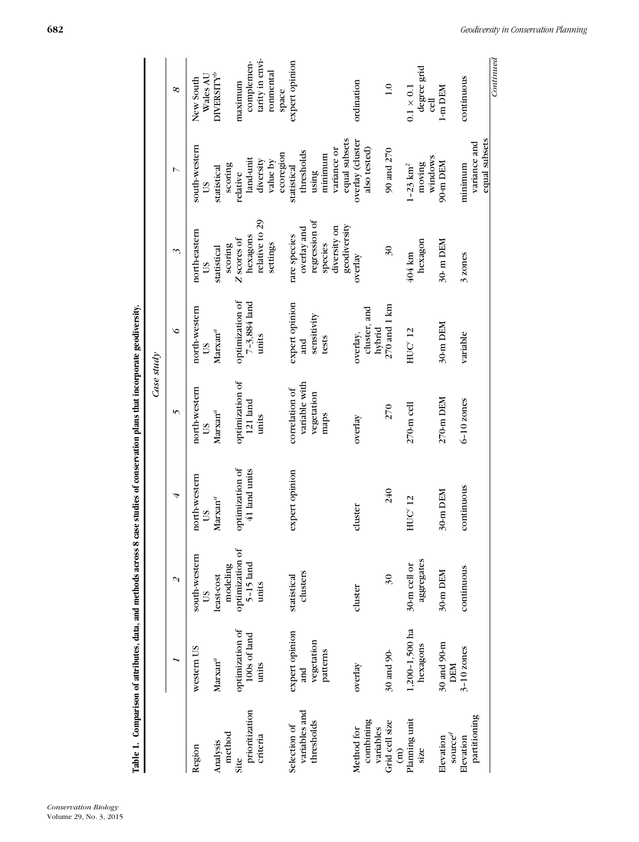|                                      |                                 |                              |                                  | Case study                      |                                    |                              |                                               |                                      |
|--------------------------------------|---------------------------------|------------------------------|----------------------------------|---------------------------------|------------------------------------|------------------------------|-----------------------------------------------|--------------------------------------|
|                                      |                                 | $\mathcal{L}$                | Ψ                                | m                               | ৩                                  | 3                            | $\overline{ }$                                | ∞                                    |
| Region                               | western US                      | south-western<br>SŪ          | north-western<br>SQ              | north-western<br>SQ             | north-western<br>S                 | north-eastern<br>SQ          | south-western<br>SŪ                           | Wales AU<br>New South                |
| method<br>Analysis                   | $Maxxan^d$                      | modeling<br>least-cost       | $Marxan^a$                       | $Marxan^a$                      | $Maxxan^d$                         | scoring<br>statistical       | scoring<br>statistical                        | <b>DIVERSITY</b> <sup>b</sup>        |
| prioritization<br>Site               | optimization of<br>100s of land | optimization of<br>5-15 land | optimization of<br>41 land units | optimization of<br>121 land     | optimization of<br>7-3,884 land    | hexagons<br>Z scores of      | land-unit<br>relative                         | complemen-<br>maximum                |
| criteria                             | units                           | units                        |                                  | units                           | units                              | relative to 29<br>settings   | diversity<br>value by                         | tarity in envi-<br>ronmental         |
|                                      |                                 |                              |                                  |                                 |                                    |                              | ecoregion                                     | space                                |
| variables and<br>Selection of        | expert opinion<br>and           | clusters<br>statistical      | expert opinion                   | variable with<br>correlation of | expert opinion<br>and              | overlay and<br>rare species  | thresholds<br>statistical                     | expert opinion                       |
| thresholds                           | vegetation<br>patterns          |                              |                                  | vegetation<br>maps              | sensitivity<br>tests               | regression of<br>species     | minimum<br>using                              |                                      |
|                                      |                                 |                              |                                  |                                 |                                    | geodiversity<br>diversity on | equal subsets<br>variance or                  |                                      |
| combining<br>Method for<br>variables | overlay                         | cluster                      | cluster                          | overlay                         | cluster, and<br>hybrid<br>overlay, | overlay                      | overlay (cluster<br>also tested)              | ordination                           |
| Grid cell size<br>$\widehat{E}$      | 30 and 90-                      | $\overline{\mathbf{30}}$     | 240                              | 270                             | 270 and 1 km                       | $\overline{\mathcal{E}}$     | 90 and 270                                    | $\overline{1.0}$                     |
| Planning unit<br>size                | 1,200-1,500 ha<br>hexagons      | aggregates<br>30-m cell or   | HUCC12                           | $270-m$ cell                    | HUCC12                             | hexagon<br>404 km            | windows<br>moving<br>$1 - 23$ km <sup>2</sup> | degree grid<br>$0.1 \times 0.1$<br>ह |
| source <sup>d</sup><br>Elevation     | 30 and 90-m<br>DEM              | 30-m DEM                     | $30-m$ DEM                       | 270-m DEM                       | 30-m DEM                           | 30-m DEM                     | 90-m DEM                                      | 1-m DEM                              |
| partitioning<br>Elevation            | $3-10$ zones                    | continuous                   | continuous                       | 6-10 zones                      | variable                           | $3$ zones                    | equal subsets<br>variance and<br>minimum      | continuous                           |
|                                      |                                 |                              |                                  |                                 |                                    |                              |                                               | Continued                            |

Table 1. Comparison of attributes, data, and methods across 8 case studies of conservation plans that incorporate geodiversity.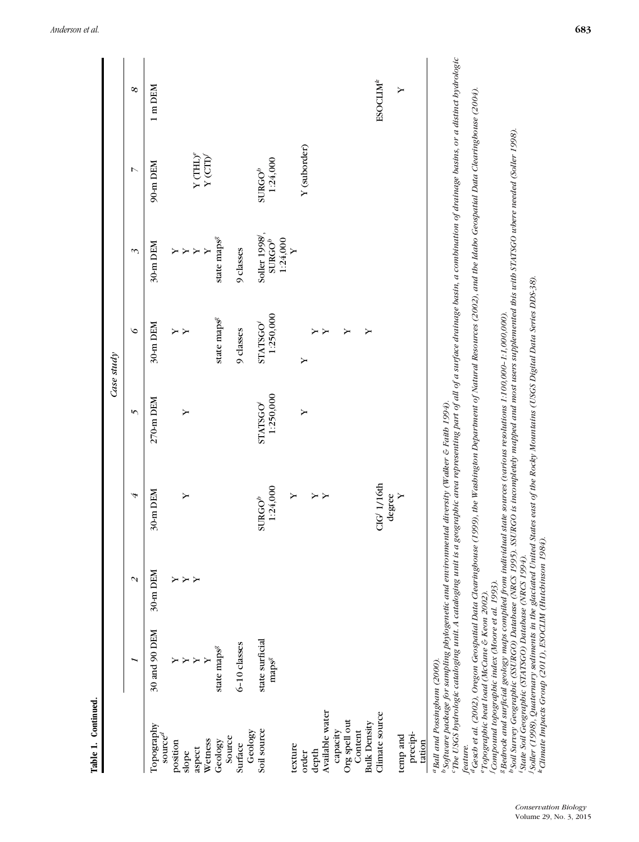| Table 1. Continued.                     |                                                                                                                                      |               |                                                                                                                                                                                                                                                                                                                  |                                                                       | Case study                        |                                               |                       |                      |
|-----------------------------------------|--------------------------------------------------------------------------------------------------------------------------------------|---------------|------------------------------------------------------------------------------------------------------------------------------------------------------------------------------------------------------------------------------------------------------------------------------------------------------------------|-----------------------------------------------------------------------|-----------------------------------|-----------------------------------------------|-----------------------|----------------------|
|                                         |                                                                                                                                      | $\mathcal{A}$ | Þ                                                                                                                                                                                                                                                                                                                | $\sqrt{ }$                                                            | ৩                                 | $\tilde{ }$                                   | $\overline{ }$        | ∞                    |
| Topography                              | 30 and 90 DEM                                                                                                                        | $30-m$ DEM    | 30-m DEM                                                                                                                                                                                                                                                                                                         | 270-m DEM                                                             | 30-m DEM                          | 30-m DEM                                      | 90-m DEM              | 1 m DEM              |
| source $^d$<br>position                 |                                                                                                                                      |               |                                                                                                                                                                                                                                                                                                                  |                                                                       | Σ                                 | Υ                                             |                       |                      |
| slope                                   |                                                                                                                                      |               | Y                                                                                                                                                                                                                                                                                                                | Y                                                                     |                                   |                                               | Y (THL) <sup>e</sup>  |                      |
| Wetness<br>aspect                       |                                                                                                                                      |               |                                                                                                                                                                                                                                                                                                                  |                                                                       |                                   |                                               | Y (CTI)               |                      |
| Geology                                 | state maps <sup>s</sup>                                                                                                              |               |                                                                                                                                                                                                                                                                                                                  |                                                                       | state maps <sup>g</sup>           | state maps <sup>g</sup>                       |                       |                      |
| Source                                  |                                                                                                                                      |               |                                                                                                                                                                                                                                                                                                                  |                                                                       |                                   |                                               |                       |                      |
| Geology<br>Surface                      | $6-10$ classes                                                                                                                       |               |                                                                                                                                                                                                                                                                                                                  |                                                                       | 9 classes                         | 9 classes                                     |                       |                      |
| Soil source                             | state surficial<br>$maps^g$                                                                                                          |               | 1:24,000<br>$SUBGO^b$                                                                                                                                                                                                                                                                                            | 1:250,000<br>STATSGO <sup>1</sup>                                     | 1:250,000<br>STATSGO <sup>1</sup> | Soller 1998<br>$\mathrm{SUBGO}^b$<br>1:24,000 | 1:24,000<br>$SUBGO^b$ |                      |
| texture                                 |                                                                                                                                      |               | ≻                                                                                                                                                                                                                                                                                                                |                                                                       |                                   |                                               |                       |                      |
| order                                   |                                                                                                                                      |               |                                                                                                                                                                                                                                                                                                                  | Y                                                                     | Σ                                 |                                               | Y (suborder)          |                      |
| depth                                   |                                                                                                                                      |               | ΥY                                                                                                                                                                                                                                                                                                               |                                                                       | ≻                                 |                                               |                       |                      |
| Available water                         |                                                                                                                                      |               |                                                                                                                                                                                                                                                                                                                  |                                                                       | ≻                                 |                                               |                       |                      |
| capacity                                |                                                                                                                                      |               |                                                                                                                                                                                                                                                                                                                  |                                                                       |                                   |                                               |                       |                      |
| Org spell out                           |                                                                                                                                      |               |                                                                                                                                                                                                                                                                                                                  |                                                                       | ≻                                 |                                               |                       |                      |
| <b>Bulk Density</b><br>Content          |                                                                                                                                      |               |                                                                                                                                                                                                                                                                                                                  |                                                                       | Σ                                 |                                               |                       |                      |
|                                         |                                                                                                                                      |               |                                                                                                                                                                                                                                                                                                                  |                                                                       |                                   |                                               |                       |                      |
| Climate source                          |                                                                                                                                      |               | CIG' 1/16th<br>degree                                                                                                                                                                                                                                                                                            |                                                                       |                                   |                                               |                       | ESOCLIM <sup>®</sup> |
| precipi-<br>temp and<br>tation          |                                                                                                                                      |               | Y                                                                                                                                                                                                                                                                                                                |                                                                       |                                   |                                               |                       | ≻                    |
| <sup>a</sup> Ball and Possingham (2000) |                                                                                                                                      |               | <sup>c</sup> The USGS hydrologic cataloging unit. A cataloging unit is a geographic area representing part of al of a surface drainage basin, a combination of drainage basins, or a distinct hydrologic<br>$^{b}$ Software package for sampling phylogenetic and environmental diversity (Walker & Faith 1994). |                                                                       |                                   |                                               |                       |                      |
| feature.                                | eTopographic heat load (McCune & Keon 2002).                                                                                         |               | a Gesch et al. (2002), Oregon Geospatial Data Clearingbouse (1999), the Washington Department of Natural Resources (2002), and the Idaho Geospatial Data Clearingbouse (2004).                                                                                                                                   |                                                                       |                                   |                                               |                       |                      |
|                                         | 1State Soil Geographic (STATSGO) Database (NRCS 1994).<br>Compound topographic index (Moore et al. 1993).                            |               | bSoil Survey Geographic (SSURGO) Database (NRCS 1995). SSURGO is incompletely mapped and most users supplemented this with STATSGO where needed (Soller 1998).<br>$^g$ Bedrock and surficial geology maps compiled from individual state sources (various resolutions 1:100,000-1:1,000,000).                    |                                                                       |                                   |                                               |                       |                      |
|                                         | <sup>k</sup> Climate Impacts Group (2011), ESOCLIM (Hutchinson 1984).<br>Soller (1998), Quaternary sediments in the glaciated United |               |                                                                                                                                                                                                                                                                                                                  | States east of the Rocky Mountains (USGS Digital Data Series DDS-38). |                                   |                                               |                       |                      |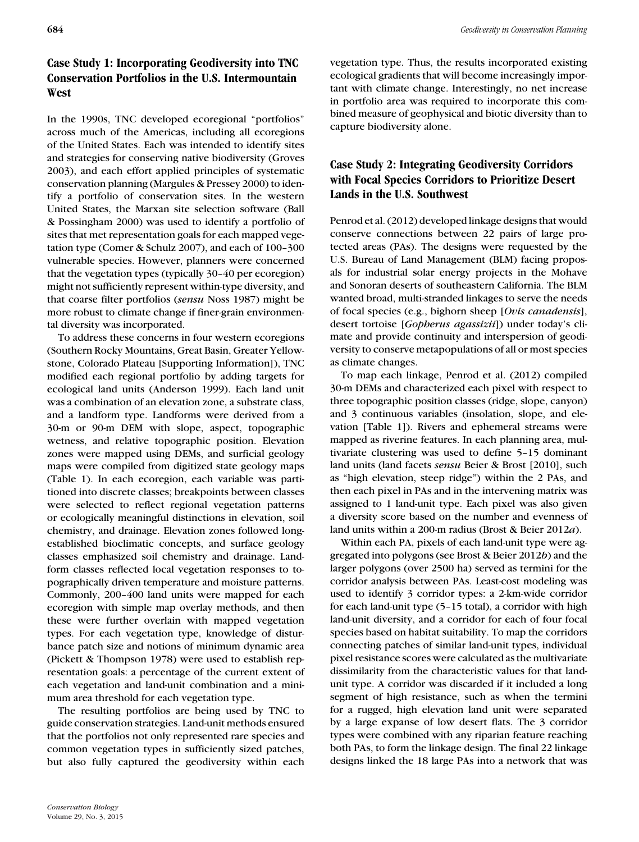#### **Case Study 1: Incorporating Geodiversity into TNC Conservation Portfolios in the U.S. Intermountain West**

In the 1990s, TNC developed ecoregional "portfolios" across much of the Americas, including all ecoregions of the United States. Each was intended to identify sites and strategies for conserving native biodiversity (Groves 2003), and each effort applied principles of systematic conservation planning (Margules & Pressey 2000) to identify a portfolio of conservation sites. In the western United States, the Marxan site selection software (Ball & Possingham 2000) was used to identify a portfolio of sites that met representation goals for each mapped vegetation type (Comer & Schulz 2007), and each of 100–300 vulnerable species. However, planners were concerned that the vegetation types (typically 30–40 per ecoregion) might not sufficiently represent within-type diversity, and that coarse filter portfolios (*sensu* Noss 1987) might be more robust to climate change if finer-grain environmental diversity was incorporated.

To address these concerns in four western ecoregions (Southern Rocky Mountains, Great Basin, Greater Yellowstone, Colorado Plateau [Supporting Information]), TNC modified each regional portfolio by adding targets for ecological land units (Anderson 1999). Each land unit was a combination of an elevation zone, a substrate class, and a landform type. Landforms were derived from a 30-m or 90-m DEM with slope, aspect, topographic wetness, and relative topographic position. Elevation zones were mapped using DEMs, and surficial geology maps were compiled from digitized state geology maps (Table 1). In each ecoregion, each variable was partitioned into discrete classes; breakpoints between classes were selected to reflect regional vegetation patterns or ecologically meaningful distinctions in elevation, soil chemistry, and drainage. Elevation zones followed longestablished bioclimatic concepts, and surface geology classes emphasized soil chemistry and drainage. Landform classes reflected local vegetation responses to topographically driven temperature and moisture patterns. Commonly, 200–400 land units were mapped for each ecoregion with simple map overlay methods, and then these were further overlain with mapped vegetation types. For each vegetation type, knowledge of disturbance patch size and notions of minimum dynamic area (Pickett & Thompson 1978) were used to establish representation goals: a percentage of the current extent of each vegetation and land-unit combination and a minimum area threshold for each vegetation type.

The resulting portfolios are being used by TNC to guide conservation strategies. Land-unit methods ensured that the portfolios not only represented rare species and common vegetation types in sufficiently sized patches, but also fully captured the geodiversity within each

vegetation type. Thus, the results incorporated existing ecological gradients that will become increasingly important with climate change. Interestingly, no net increase in portfolio area was required to incorporate this combined measure of geophysical and biotic diversity than to capture biodiversity alone.

# **Case Study 2: Integrating Geodiversity Corridors with Focal Species Corridors to Prioritize Desert Lands in the U.S. Southwest**

Penrod et al. (2012) developed linkage designs that would conserve connections between 22 pairs of large protected areas (PAs). The designs were requested by the U.S. Bureau of Land Management (BLM) facing proposals for industrial solar energy projects in the Mohave and Sonoran deserts of southeastern California. The BLM wanted broad, multi-stranded linkages to serve the needs of focal species (e.g., bighorn sheep [*Ovis canadensis*], desert tortoise [*Gopherus agassizii*]) under today's climate and provide continuity and interspersion of geodiversity to conserve metapopulations of all or most species as climate changes.

To map each linkage, Penrod et al. (2012) compiled 30-m DEMs and characterized each pixel with respect to three topographic position classes (ridge, slope, canyon) and 3 continuous variables (insolation, slope, and elevation [Table 1]). Rivers and ephemeral streams were mapped as riverine features. In each planning area, multivariate clustering was used to define 5–15 dominant land units (land facets *sensu* Beier & Brost [2010], such as "high elevation, steep ridge") within the 2 PAs, and then each pixel in PAs and in the intervening matrix was assigned to 1 land-unit type. Each pixel was also given a diversity score based on the number and evenness of land units within a 200-m radius (Brost & Beier 2012*a*).

Within each PA, pixels of each land-unit type were aggregated into polygons (see Brost & Beier 2012*b*) and the larger polygons (over 2500 ha) served as termini for the corridor analysis between PAs. Least-cost modeling was used to identify 3 corridor types: a 2-km-wide corridor for each land-unit type (5–15 total), a corridor with high land-unit diversity, and a corridor for each of four focal species based on habitat suitability. To map the corridors connecting patches of similar land-unit types, individual pixel resistance scores were calculated as the multivariate dissimilarity from the characteristic values for that landunit type. A corridor was discarded if it included a long segment of high resistance, such as when the termini for a rugged, high elevation land unit were separated by a large expanse of low desert flats. The 3 corridor types were combined with any riparian feature reaching both PAs, to form the linkage design. The final 22 linkage designs linked the 18 large PAs into a network that was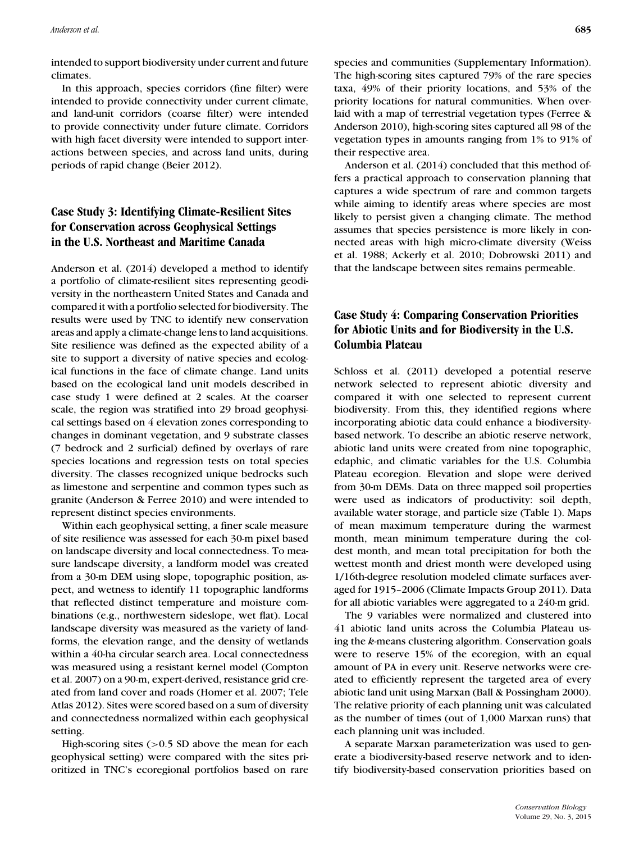intended to support biodiversity under current and future climates.

In this approach, species corridors (fine filter) were intended to provide connectivity under current climate, and land-unit corridors (coarse filter) were intended to provide connectivity under future climate. Corridors with high facet diversity were intended to support interactions between species, and across land units, during periods of rapid change (Beier 2012).

#### **Case Study 3: Identifying Climate-Resilient Sites for Conservation across Geophysical Settings in the U.S. Northeast and Maritime Canada**

Anderson et al. (2014) developed a method to identify a portfolio of climate-resilient sites representing geodiversity in the northeastern United States and Canada and compared it with a portfolio selected for biodiversity. The results were used by TNC to identify new conservation areas and apply a climate-change lens to land acquisitions. Site resilience was defined as the expected ability of a site to support a diversity of native species and ecological functions in the face of climate change. Land units based on the ecological land unit models described in case study 1 were defined at 2 scales. At the coarser scale, the region was stratified into 29 broad geophysical settings based on 4 elevation zones corresponding to changes in dominant vegetation, and 9 substrate classes (7 bedrock and 2 surficial) defined by overlays of rare species locations and regression tests on total species diversity. The classes recognized unique bedrocks such as limestone and serpentine and common types such as granite (Anderson & Ferree 2010) and were intended to represent distinct species environments.

Within each geophysical setting, a finer scale measure of site resilience was assessed for each 30-m pixel based on landscape diversity and local connectedness. To measure landscape diversity, a landform model was created from a 30-m DEM using slope, topographic position, aspect, and wetness to identify 11 topographic landforms that reflected distinct temperature and moisture combinations (e.g., northwestern sideslope, wet flat). Local landscape diversity was measured as the variety of landforms, the elevation range, and the density of wetlands within a 40-ha circular search area. Local connectedness was measured using a resistant kernel model (Compton et al. 2007) on a 90-m, expert-derived, resistance grid created from land cover and roads (Homer et al. 2007; Tele Atlas 2012). Sites were scored based on a sum of diversity and connectedness normalized within each geophysical setting.

High-scoring sites (*>*0.5 SD above the mean for each geophysical setting) were compared with the sites prioritized in TNC's ecoregional portfolios based on rare species and communities (Supplementary Information). The high-scoring sites captured 79% of the rare species taxa, 49% of their priority locations, and 53% of the priority locations for natural communities. When overlaid with a map of terrestrial vegetation types (Ferree & Anderson 2010), high-scoring sites captured all 98 of the vegetation types in amounts ranging from 1% to 91% of their respective area.

Anderson et al. (2014) concluded that this method offers a practical approach to conservation planning that captures a wide spectrum of rare and common targets while aiming to identify areas where species are most likely to persist given a changing climate. The method assumes that species persistence is more likely in connected areas with high micro-climate diversity (Weiss et al. 1988; Ackerly et al. 2010; Dobrowski 2011) and that the landscape between sites remains permeable.

# **Case Study 4: Comparing Conservation Priorities for Abiotic Units and for Biodiversity in the U.S. Columbia Plateau**

Schloss et al. (2011) developed a potential reserve network selected to represent abiotic diversity and compared it with one selected to represent current biodiversity. From this, they identified regions where incorporating abiotic data could enhance a biodiversitybased network. To describe an abiotic reserve network, abiotic land units were created from nine topographic, edaphic, and climatic variables for the U.S. Columbia Plateau ecoregion. Elevation and slope were derived from 30-m DEMs. Data on three mapped soil properties were used as indicators of productivity: soil depth, available water storage, and particle size (Table 1). Maps of mean maximum temperature during the warmest month, mean minimum temperature during the coldest month, and mean total precipitation for both the wettest month and driest month were developed using 1/16th-degree resolution modeled climate surfaces averaged for 1915–2006 (Climate Impacts Group 2011). Data for all abiotic variables were aggregated to a 240-m grid.

The 9 variables were normalized and clustered into 41 abiotic land units across the Columbia Plateau using the *k*-means clustering algorithm. Conservation goals were to reserve 15% of the ecoregion, with an equal amount of PA in every unit. Reserve networks were created to efficiently represent the targeted area of every abiotic land unit using Marxan (Ball & Possingham 2000). The relative priority of each planning unit was calculated as the number of times (out of 1,000 Marxan runs) that each planning unit was included.

A separate Marxan parameterization was used to generate a biodiversity-based reserve network and to identify biodiversity-based conservation priorities based on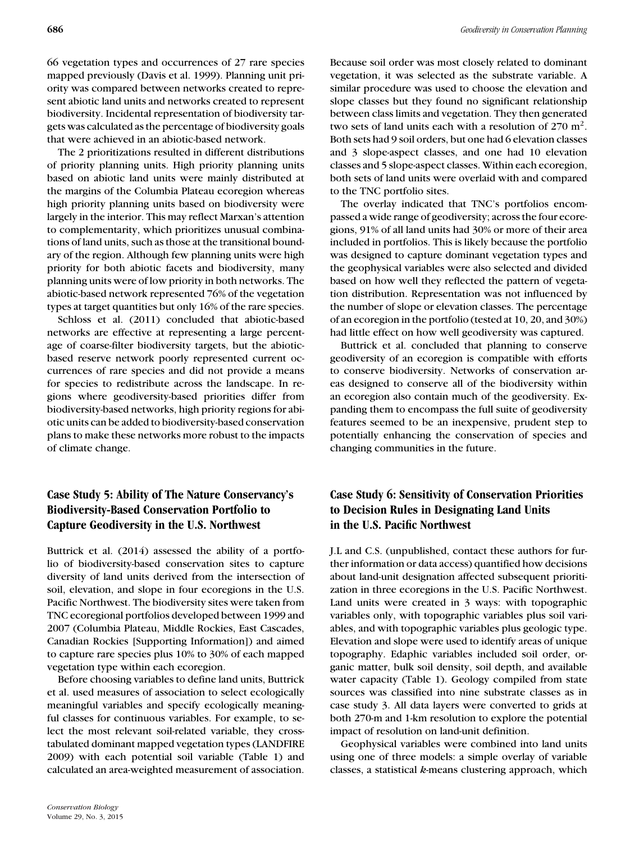66 vegetation types and occurrences of 27 rare species mapped previously (Davis et al. 1999). Planning unit priority was compared between networks created to represent abiotic land units and networks created to represent biodiversity. Incidental representation of biodiversity targets was calculated as the percentage of biodiversity goals that were achieved in an abiotic-based network.

The 2 prioritizations resulted in different distributions of priority planning units. High priority planning units based on abiotic land units were mainly distributed at the margins of the Columbia Plateau ecoregion whereas high priority planning units based on biodiversity were largely in the interior. This may reflect Marxan's attention to complementarity, which prioritizes unusual combinations of land units, such as those at the transitional boundary of the region. Although few planning units were high priority for both abiotic facets and biodiversity, many planning units were of low priority in both networks. The abiotic-based network represented 76% of the vegetation types at target quantities but only 16% of the rare species.

Schloss et al. (2011) concluded that abiotic-based networks are effective at representing a large percentage of coarse-filter biodiversity targets, but the abioticbased reserve network poorly represented current occurrences of rare species and did not provide a means for species to redistribute across the landscape. In regions where geodiversity-based priorities differ from biodiversity-based networks, high priority regions for abiotic units can be added to biodiversity-based conservation plans to make these networks more robust to the impacts of climate change.

# **Case Study 5: Ability of The Nature Conservancy's Biodiversity-Based Conservation Portfolio to Capture Geodiversity in the U.S. Northwest**

Buttrick et al. (2014) assessed the ability of a portfolio of biodiversity-based conservation sites to capture diversity of land units derived from the intersection of soil, elevation, and slope in four ecoregions in the U.S. Pacific Northwest. The biodiversity sites were taken from TNC ecoregional portfolios developed between 1999 and 2007 (Columbia Plateau, Middle Rockies, East Cascades, Canadian Rockies [Supporting Information]) and aimed to capture rare species plus 10% to 30% of each mapped vegetation type within each ecoregion.

Before choosing variables to define land units, Buttrick et al. used measures of association to select ecologically meaningful variables and specify ecologically meaningful classes for continuous variables. For example, to select the most relevant soil-related variable, they crosstabulated dominant mapped vegetation types (LANDFIRE 2009) with each potential soil variable (Table 1) and calculated an area-weighted measurement of association.

Because soil order was most closely related to dominant vegetation, it was selected as the substrate variable. A similar procedure was used to choose the elevation and slope classes but they found no significant relationship between class limits and vegetation. They then generated two sets of land units each with a resolution of  $270 \text{ m}^2$ . Both sets had 9 soil orders, but one had 6 elevation classes and 3 slope-aspect classes, and one had 10 elevation classes and 5 slope-aspect classes. Within each ecoregion, both sets of land units were overlaid with and compared to the TNC portfolio sites. The overlay indicated that TNC's portfolios encom-

passed a wide range of geodiversity; across the four ecoregions, 91% of all land units had 30% or more of their area included in portfolios. This is likely because the portfolio was designed to capture dominant vegetation types and the geophysical variables were also selected and divided based on how well they reflected the pattern of vegetation distribution. Representation was not influenced by the number of slope or elevation classes. The percentage of an ecoregion in the portfolio (tested at 10, 20, and 30%) had little effect on how well geodiversity was captured.

Buttrick et al. concluded that planning to conserve geodiversity of an ecoregion is compatible with efforts to conserve biodiversity. Networks of conservation areas designed to conserve all of the biodiversity within an ecoregion also contain much of the geodiversity. Expanding them to encompass the full suite of geodiversity features seemed to be an inexpensive, prudent step to potentially enhancing the conservation of species and changing communities in the future.

#### **Case Study 6: Sensitivity of Conservation Priorities to Decision Rules in Designating Land Units in the U.S. Pacific Northwest**

J.L and C.S. (unpublished, contact these authors for further information or data access) quantified how decisions about land-unit designation affected subsequent prioritization in three ecoregions in the U.S. Pacific Northwest. Land units were created in 3 ways: with topographic variables only, with topographic variables plus soil variables, and with topographic variables plus geologic type. Elevation and slope were used to identify areas of unique topography. Edaphic variables included soil order, organic matter, bulk soil density, soil depth, and available water capacity (Table 1). Geology compiled from state sources was classified into nine substrate classes as in case study 3. All data layers were converted to grids at both 270-m and 1-km resolution to explore the potential impact of resolution on land-unit definition.

Geophysical variables were combined into land units using one of three models: a simple overlay of variable classes, a statistical *k*-means clustering approach, which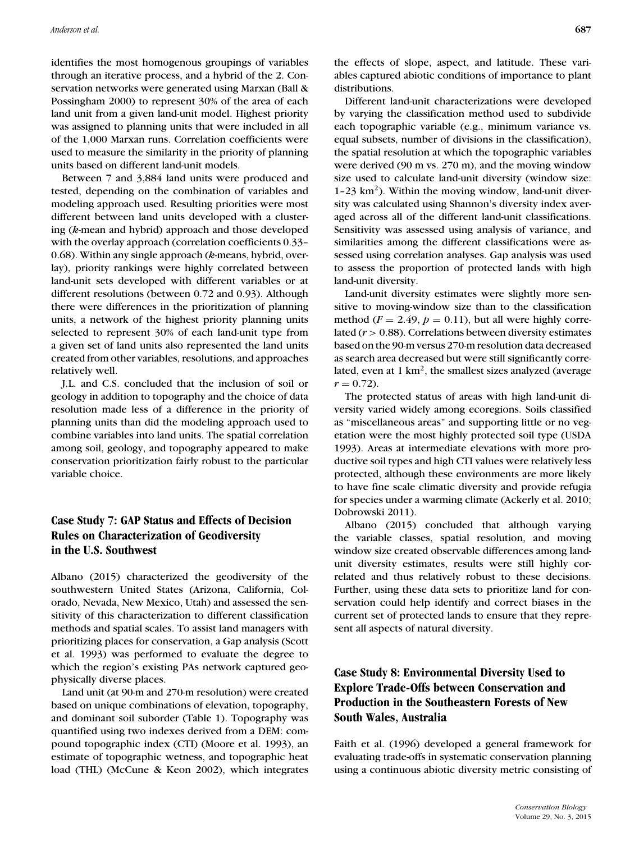identifies the most homogenous groupings of variables through an iterative process, and a hybrid of the 2. Conservation networks were generated using Marxan (Ball & Possingham 2000) to represent 30% of the area of each land unit from a given land-unit model. Highest priority was assigned to planning units that were included in all of the 1,000 Marxan runs. Correlation coefficients were used to measure the similarity in the priority of planning units based on different land-unit models.

Between 7 and 3,884 land units were produced and tested, depending on the combination of variables and modeling approach used. Resulting priorities were most different between land units developed with a clustering (*k*-mean and hybrid) approach and those developed with the overlay approach (correlation coefficients 0.33– 0.68). Within any single approach (*k*-means, hybrid, overlay), priority rankings were highly correlated between land-unit sets developed with different variables or at different resolutions (between 0.72 and 0.93). Although there were differences in the prioritization of planning units, a network of the highest priority planning units selected to represent 30% of each land-unit type from a given set of land units also represented the land units created from other variables, resolutions, and approaches relatively well.

J.L. and C.S. concluded that the inclusion of soil or geology in addition to topography and the choice of data resolution made less of a difference in the priority of planning units than did the modeling approach used to combine variables into land units. The spatial correlation among soil, geology, and topography appeared to make conservation prioritization fairly robust to the particular variable choice.

## **Case Study 7: GAP Status and Effects of Decision Rules on Characterization of Geodiversity in the U.S. Southwest**

Albano (2015) characterized the geodiversity of the southwestern United States (Arizona, California, Colorado, Nevada, New Mexico, Utah) and assessed the sensitivity of this characterization to different classification methods and spatial scales. To assist land managers with prioritizing places for conservation, a Gap analysis (Scott et al. 1993) was performed to evaluate the degree to which the region's existing PAs network captured geophysically diverse places.

Land unit (at 90-m and 270-m resolution) were created based on unique combinations of elevation, topography, and dominant soil suborder (Table 1). Topography was quantified using two indexes derived from a DEM: compound topographic index (CTI) (Moore et al. 1993), an estimate of topographic wetness, and topographic heat load (THL) (McCune & Keon 2002), which integrates the effects of slope, aspect, and latitude. These variables captured abiotic conditions of importance to plant distributions.

Different land-unit characterizations were developed by varying the classification method used to subdivide each topographic variable (e.g., minimum variance vs. equal subsets, number of divisions in the classification), the spatial resolution at which the topographic variables were derived (90 m vs. 270 m), and the moving window size used to calculate land-unit diversity (window size:  $1-23 \text{ km}^2$ ). Within the moving window, land-unit diversity was calculated using Shannon's diversity index averaged across all of the different land-unit classifications. Sensitivity was assessed using analysis of variance, and similarities among the different classifications were assessed using correlation analyses. Gap analysis was used to assess the proportion of protected lands with high land-unit diversity.

Land-unit diversity estimates were slightly more sensitive to moving-window size than to the classification method ( $F = 2.49$ ,  $p = 0.11$ ), but all were highly correlated  $(r > 0.88)$ . Correlations between diversity estimates based on the 90-m versus 270-m resolution data decreased as search area decreased but were still significantly correlated, even at  $1 \text{ km}^2$ , the smallest sizes analyzed (average  $r = 0.72$ .

The protected status of areas with high land-unit diversity varied widely among ecoregions. Soils classified as "miscellaneous areas" and supporting little or no vegetation were the most highly protected soil type (USDA 1993). Areas at intermediate elevations with more productive soil types and high CTI values were relatively less protected, although these environments are more likely to have fine scale climatic diversity and provide refugia for species under a warming climate (Ackerly et al. 2010; Dobrowski 2011).

Albano (2015) concluded that although varying the variable classes, spatial resolution, and moving window size created observable differences among landunit diversity estimates, results were still highly correlated and thus relatively robust to these decisions. Further, using these data sets to prioritize land for conservation could help identify and correct biases in the current set of protected lands to ensure that they represent all aspects of natural diversity.

## **Case Study 8: Environmental Diversity Used to Explore Trade-Offs between Conservation and Production in the Southeastern Forests of New South Wales, Australia**

Faith et al. (1996) developed a general framework for evaluating trade-offs in systematic conservation planning using a continuous abiotic diversity metric consisting of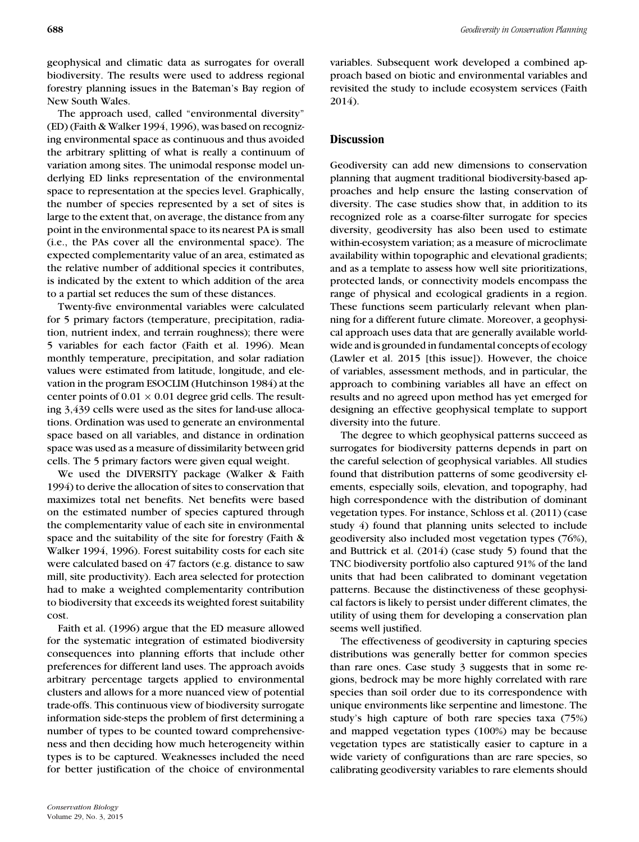geophysical and climatic data as surrogates for overall biodiversity. The results were used to address regional forestry planning issues in the Bateman's Bay region of New South Wales.

The approach used, called "environmental diversity" (ED) (Faith & Walker 1994, 1996), was based on recognizing environmental space as continuous and thus avoided the arbitrary splitting of what is really a continuum of variation among sites. The unimodal response model underlying ED links representation of the environmental space to representation at the species level. Graphically, the number of species represented by a set of sites is large to the extent that, on average, the distance from any point in the environmental space to its nearest PA is small (i.e., the PAs cover all the environmental space). The expected complementarity value of an area, estimated as the relative number of additional species it contributes, is indicated by the extent to which addition of the area to a partial set reduces the sum of these distances.

Twenty-five environmental variables were calculated for 5 primary factors (temperature, precipitation, radiation, nutrient index, and terrain roughness); there were 5 variables for each factor (Faith et al. 1996). Mean monthly temperature, precipitation, and solar radiation values were estimated from latitude, longitude, and elevation in the program ESOCLIM (Hutchinson 1984) at the center points of  $0.01 \times 0.01$  degree grid cells. The resulting 3,439 cells were used as the sites for land-use allocations. Ordination was used to generate an environmental space based on all variables, and distance in ordination space was used as a measure of dissimilarity between grid cells. The 5 primary factors were given equal weight.

We used the DIVERSITY package (Walker & Faith 1994) to derive the allocation of sites to conservation that maximizes total net benefits. Net benefits were based on the estimated number of species captured through the complementarity value of each site in environmental space and the suitability of the site for forestry (Faith & Walker 1994, 1996). Forest suitability costs for each site were calculated based on 47 factors (e.g. distance to saw mill, site productivity). Each area selected for protection had to make a weighted complementarity contribution to biodiversity that exceeds its weighted forest suitability cost.

Faith et al. (1996) argue that the ED measure allowed for the systematic integration of estimated biodiversity consequences into planning efforts that include other preferences for different land uses. The approach avoids arbitrary percentage targets applied to environmental clusters and allows for a more nuanced view of potential trade-offs. This continuous view of biodiversity surrogate information side-steps the problem of first determining a number of types to be counted toward comprehensiveness and then deciding how much heterogeneity within types is to be captured. Weaknesses included the need for better justification of the choice of environmental

variables. Subsequent work developed a combined approach based on biotic and environmental variables and revisited the study to include ecosystem services (Faith 2014).

#### **Discussion**

Geodiversity can add new dimensions to conservation planning that augment traditional biodiversity-based approaches and help ensure the lasting conservation of diversity. The case studies show that, in addition to its recognized role as a coarse-filter surrogate for species diversity, geodiversity has also been used to estimate within-ecosystem variation; as a measure of microclimate availability within topographic and elevational gradients; and as a template to assess how well site prioritizations, protected lands, or connectivity models encompass the range of physical and ecological gradients in a region. These functions seem particularly relevant when planning for a different future climate. Moreover, a geophysical approach uses data that are generally available worldwide and is grounded in fundamental concepts of ecology (Lawler et al. 2015 [this issue]). However, the choice of variables, assessment methods, and in particular, the approach to combining variables all have an effect on results and no agreed upon method has yet emerged for designing an effective geophysical template to support diversity into the future.

The degree to which geophysical patterns succeed as surrogates for biodiversity patterns depends in part on the careful selection of geophysical variables. All studies found that distribution patterns of some geodiversity elements, especially soils, elevation, and topography, had high correspondence with the distribution of dominant vegetation types. For instance, Schloss et al. (2011) (case study 4) found that planning units selected to include geodiversity also included most vegetation types (76%), and Buttrick et al. (2014) (case study 5) found that the TNC biodiversity portfolio also captured 91% of the land units that had been calibrated to dominant vegetation patterns. Because the distinctiveness of these geophysical factors is likely to persist under different climates, the utility of using them for developing a conservation plan seems well justified.

The effectiveness of geodiversity in capturing species distributions was generally better for common species than rare ones. Case study 3 suggests that in some regions, bedrock may be more highly correlated with rare species than soil order due to its correspondence with unique environments like serpentine and limestone. The study's high capture of both rare species taxa (75%) and mapped vegetation types (100%) may be because vegetation types are statistically easier to capture in a wide variety of configurations than are rare species, so calibrating geodiversity variables to rare elements should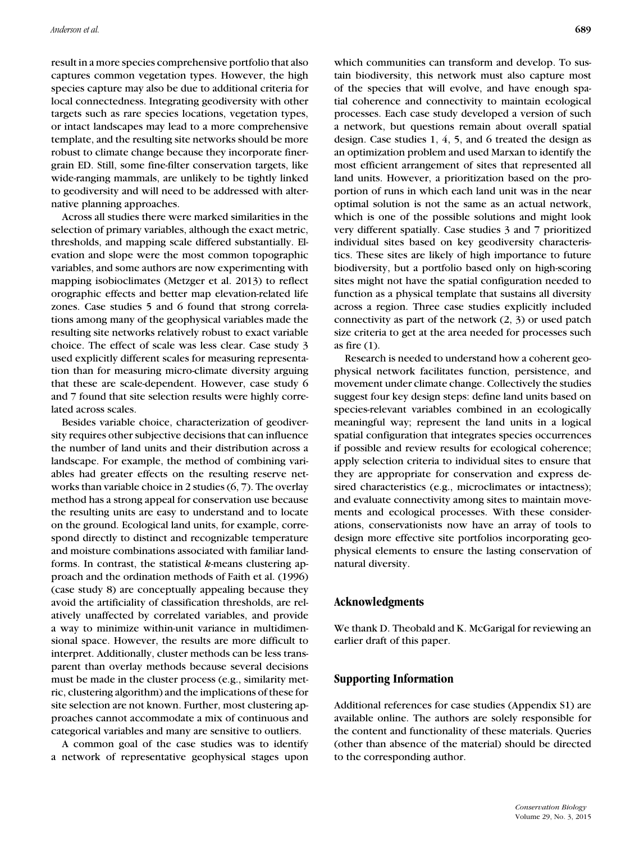result in a more species comprehensive portfolio that also captures common vegetation types. However, the high species capture may also be due to additional criteria for local connectedness. Integrating geodiversity with other targets such as rare species locations, vegetation types, or intact landscapes may lead to a more comprehensive template, and the resulting site networks should be more robust to climate change because they incorporate finergrain ED. Still, some fine-filter conservation targets, like wide-ranging mammals, are unlikely to be tightly linked to geodiversity and will need to be addressed with alternative planning approaches.

Across all studies there were marked similarities in the selection of primary variables, although the exact metric, thresholds, and mapping scale differed substantially. Elevation and slope were the most common topographic variables, and some authors are now experimenting with mapping isobioclimates (Metzger et al. 2013) to reflect orographic effects and better map elevation-related life zones. Case studies 5 and 6 found that strong correlations among many of the geophysical variables made the resulting site networks relatively robust to exact variable choice. The effect of scale was less clear. Case study 3 used explicitly different scales for measuring representation than for measuring micro-climate diversity arguing that these are scale-dependent. However, case study 6 and 7 found that site selection results were highly correlated across scales.

Besides variable choice, characterization of geodiversity requires other subjective decisions that can influence the number of land units and their distribution across a landscape. For example, the method of combining variables had greater effects on the resulting reserve networks than variable choice in 2 studies (6, 7). The overlay method has a strong appeal for conservation use because the resulting units are easy to understand and to locate on the ground. Ecological land units, for example, correspond directly to distinct and recognizable temperature and moisture combinations associated with familiar landforms. In contrast, the statistical *k*-means clustering approach and the ordination methods of Faith et al. (1996) (case study 8) are conceptually appealing because they avoid the artificiality of classification thresholds, are relatively unaffected by correlated variables, and provide a way to minimize within-unit variance in multidimensional space. However, the results are more difficult to interpret. Additionally, cluster methods can be less transparent than overlay methods because several decisions must be made in the cluster process (e.g., similarity metric, clustering algorithm) and the implications of these for site selection are not known. Further, most clustering approaches cannot accommodate a mix of continuous and categorical variables and many are sensitive to outliers.

A common goal of the case studies was to identify a network of representative geophysical stages upon which communities can transform and develop. To sustain biodiversity, this network must also capture most of the species that will evolve, and have enough spatial coherence and connectivity to maintain ecological processes. Each case study developed a version of such a network, but questions remain about overall spatial design. Case studies 1, 4, 5, and 6 treated the design as an optimization problem and used Marxan to identify the most efficient arrangement of sites that represented all land units. However, a prioritization based on the proportion of runs in which each land unit was in the near optimal solution is not the same as an actual network, which is one of the possible solutions and might look very different spatially. Case studies 3 and 7 prioritized individual sites based on key geodiversity characteristics. These sites are likely of high importance to future biodiversity, but a portfolio based only on high-scoring sites might not have the spatial configuration needed to function as a physical template that sustains all diversity across a region. Three case studies explicitly included connectivity as part of the network (2, 3) or used patch size criteria to get at the area needed for processes such as fire (1).

Research is needed to understand how a coherent geophysical network facilitates function, persistence, and movement under climate change. Collectively the studies suggest four key design steps: define land units based on species-relevant variables combined in an ecologically meaningful way; represent the land units in a logical spatial configuration that integrates species occurrences if possible and review results for ecological coherence; apply selection criteria to individual sites to ensure that they are appropriate for conservation and express desired characteristics (e.g., microclimates or intactness); and evaluate connectivity among sites to maintain movements and ecological processes. With these considerations, conservationists now have an array of tools to design more effective site portfolios incorporating geophysical elements to ensure the lasting conservation of natural diversity.

#### **Acknowledgments**

We thank D. Theobald and K. McGarigal for reviewing an earlier draft of this paper.

#### **Supporting Information**

Additional references for case studies (Appendix S1) are available online. The authors are solely responsible for the content and functionality of these materials. Queries (other than absence of the material) should be directed to the corresponding author.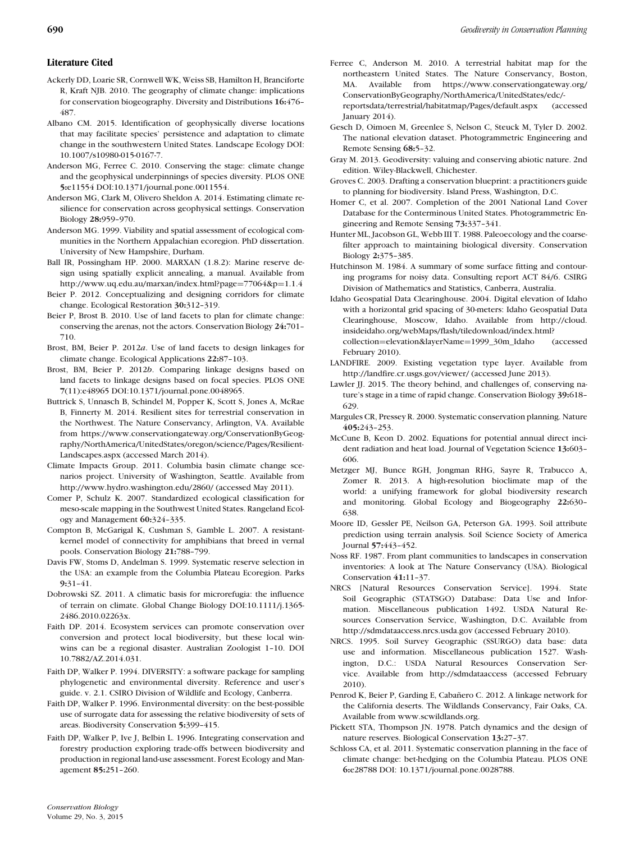#### **Literature Cited**

- Ackerly DD, Loarie SR, Cornwell WK, Weiss SB, Hamilton H, Branciforte R, Kraft NJB. 2010. The geography of climate change: implications for conservation biogeography. Diversity and Distributions **16:**476– 487.
- Albano CM. 2015. Identification of geophysically diverse locations that may facilitate species' persistence and adaptation to climate change in the southwestern United States. Landscape Ecology DOI: 10.1007/s10980-015-0167-7.
- Anderson MG, Ferree C. 2010. Conserving the stage: climate change and the geophysical underpinnings of species diversity. PLOS ONE **5:**e11554 DOI:10.1371/journal.pone.0011554.
- Anderson MG, Clark M, Olivero Sheldon A. 2014. Estimating climate resilience for conservation across geophysical settings. Conservation Biology **28:**959–970.
- Anderson MG. 1999. Viability and spatial assessment of ecological communities in the Northern Appalachian ecoregion. PhD dissertation. University of New Hampshire, Durham.
- Ball IR, Possingham HP. 2000. MARXAN (1.8.2): Marine reserve design using spatially explicit annealing, a manual. Available from http://www.uq.edu.au/marxan/index.html?page=77064&p=1.1.4
- Beier P. 2012. Conceptualizing and designing corridors for climate change. Ecological Restoration **30:**312–319.
- Beier P, Brost B. 2010. Use of land facets to plan for climate change: conserving the arenas, not the actors. Conservation Biology **24:**701– 710.
- Brost, BM, Beier P. 2012*a*. Use of land facets to design linkages for climate change. Ecological Applications **22:**87–103.
- Brost, BM, Beier P. 2012*b*. Comparing linkage designs based on land facets to linkage designs based on focal species. PLOS ONE **7**(11):e48965 DOI:10.1371/journal.pone.0048965.
- Buttrick S, Unnasch B, Schindel M, Popper K, Scott S, Jones A, McRae B, Finnerty M. 2014. Resilient sites for terrestrial conservation in the Northwest. The Nature Conservancy, Arlington, VA. Available from https://www.conservationgateway.org/ConservationByGeography/NorthAmerica/UnitedStates/oregon/science/Pages/Resilient-Landscapes.aspx (accessed March 2014).
- Climate Impacts Group. 2011. Columbia basin climate change scenarios project. University of Washington, Seattle. Available from http://www.hydro.washington.edu/2860/ (accessed May 2011).
- Comer P, Schulz K. 2007. Standardized ecological classification for meso-scale mapping in the Southwest United States. Rangeland Ecology and Management **60:**324–335.
- Compton B, McGarigal K, Cushman S, Gamble L. 2007. A resistantkernel model of connectivity for amphibians that breed in vernal pools. Conservation Biology **21:**788–799.
- Davis FW, Stoms D, Andelman S. 1999. Systematic reserve selection in the USA: an example from the Columbia Plateau Ecoregion. Parks **9:**31–41.
- Dobrowski SZ. 2011. A climatic basis for microrefugia: the influence of terrain on climate. Global Change Biology DOI:10.1111/j.1365- 2486.2010.02263x.
- Faith DP. 2014. Ecosystem services can promote conservation over conversion and protect local biodiversity, but these local winwins can be a regional disaster. Australian Zoologist 1–10. DOI 10.7882/AZ.2014.031.
- Faith DP, Walker P. 1994. DIVERSITY: a software package for sampling phylogenetic and environmental diversity. Reference and user's guide. v. 2.1. CSIRO Division of Wildlife and Ecology, Canberra.
- Faith DP, Walker P. 1996. Environmental diversity: on the best-possible use of surrogate data for assessing the relative biodiversity of sets of areas. Biodiversity Conservation **5:**399–415.
- Faith DP, Walker P, Ive J, Belbin L. 1996. Integrating conservation and forestry production exploring trade-offs between biodiversity and production in regional land-use assessment. Forest Ecology and Management **85:**251–260.

Ferree C, Anderson M. 2010. A terrestrial habitat map for the northeastern United States. The Nature Conservancy, Boston, MA. Available from https://www.conservationgateway.org/ ConservationByGeography/NorthAmerica/UnitedStates/edc/-

reportsdata/terrestrial/habitatmap/Pages/default.aspx (accessed January 2014).

- Gesch D, Oimoen M, Greenlee S, Nelson C, Steuck M, Tyler D. 2002. The national elevation dataset. Photogrammetric Engineering and Remote Sensing **68:**5–32.
- Gray M. 2013. Geodiversity: valuing and conserving abiotic nature. 2nd edition. Wiley-Blackwell, Chichester.
- Groves C. 2003. Drafting a conservation blueprint: a practitioners guide to planning for biodiversity. Island Press, Washington, D.C.
- Homer C, et al. 2007. Completion of the 2001 National Land Cover Database for the Conterminous United States. Photogrammetric Engineering and Remote Sensing **73:**337–341.
- Hunter ML, Jacobson GL, Webb III T. 1988. Paleoecology and the coarsefilter approach to maintaining biological diversity. Conservation Biology **2:**375–385.
- Hutchinson M. 1984. A summary of some surface fitting and contouring programs for noisy data. Consulting report ACT 84/6. CSIRG Division of Mathematics and Statistics, Canberra, Australia.
- Idaho Geospatial Data Clearinghouse. 2004. Digital elevation of Idaho with a horizontal grid spacing of 30-meters: Idaho Geospatial Data Clearinghouse, Moscow, Idaho. Available from http://cloud. insideidaho.org/webMaps/flash/tiledownload/index.html? collection=elevation&layerName=1999\_30m\_Idaho (accessed February 2010).
- LANDFIRE. 2009. Existing vegetation type layer. Available from http://landfire.cr.usgs.gov/viewer/ (accessed June 2013).
- Lawler JJ. 2015. The theory behind, and challenges of, conserving nature's stage in a time of rapid change. Conservation Biology **39:**618– 629.
- Margules CR, Pressey R. 2000. Systematic conservation planning. Nature **405:**243–253.
- McCune B, Keon D. 2002. Equations for potential annual direct incident radiation and heat load. Journal of Vegetation Science **13:**603– 606.
- Metzger MJ, Bunce RGH, Jongman RHG, Sayre R, Trabucco A, Zomer R. 2013. A high-resolution bioclimate map of the world: a unifying framework for global biodiversity research and monitoring. Global Ecology and Biogeography **22:**630– 638.
- Moore ID, Gessler PE, Neilson GA, Peterson GA. 1993. Soil attribute prediction using terrain analysis. Soil Science Society of America Journal **57:**443–452.
- Noss RF. 1987. From plant communities to landscapes in conservation inventories: A look at The Nature Conservancy (USA). Biological Conservation **41:**11–37.
- NRCS [Natural Resources Conservation Service]. 1994. State Soil Geographic (STATSGO) Database: Data Use and Information. Miscellaneous publication 1492. USDA Natural Resources Conservation Service, Washington, D.C. Available from http://sdmdataaccess.nrcs.usda.gov (accessed February 2010).
- NRCS. 1995. Soil Survey Geographic (SSURGO) data base: data use and information. Miscellaneous publication 1527. Washington, D.C.: USDA Natural Resources Conservation Service. Available from http://sdmdataaccess (accessed February 2010).
- Penrod K, Beier P, Garding E, Cabañero C. 2012. A linkage network for the California deserts. The Wildlands Conservancy, Fair Oaks, CA. Available from www.scwildlands.org.
- Pickett STA, Thompson JN. 1978. Patch dynamics and the design of nature reserves. Biological Conservation **13:**27–37.
- Schloss CA, et al. 2011. Systematic conservation planning in the face of climate change: bet-hedging on the Columbia Plateau. PLOS ONE **6:**e28788 DOI: 10.1371/journal.pone.0028788.